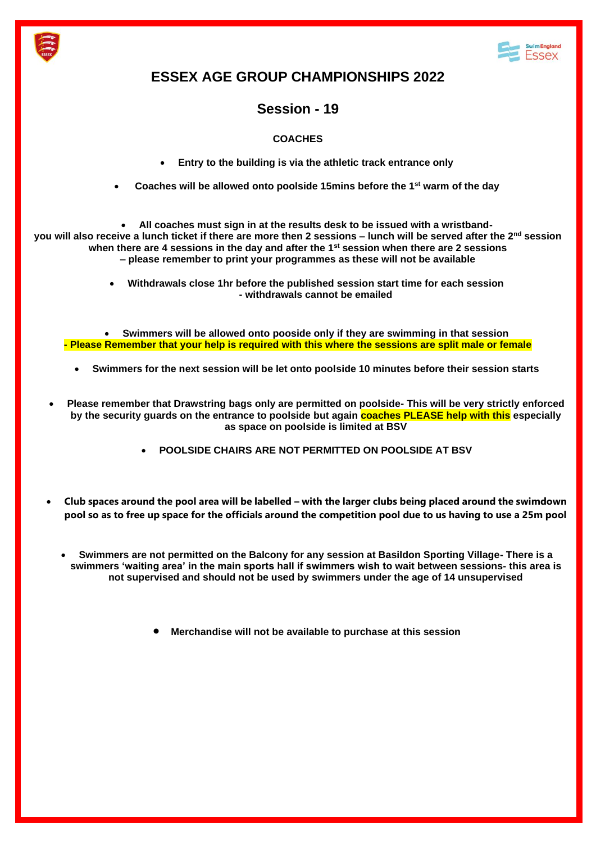



## **ESSEX AGE GROUP CHAMPIONSHIPS 2022**

## **Session - 19**

## **COACHES**

- **Entry to the building is via the athletic track entrance only**
- **Coaches will be allowed onto poolside 15mins before the 1st warm of the day**

• **All coaches must sign in at the results desk to be issued with a wristbandyou will also receive a lunch ticket if there are more then 2 sessions – lunch will be served after the 2nd session when there are 4 sessions in the day and after the 1st session when there are 2 sessions – please remember to print your programmes as these will not be available**

> • **Withdrawals close 1hr before the published session start time for each session - withdrawals cannot be emailed**

• **Swimmers will be allowed onto pooside only if they are swimming in that session - Please Remember that your help is required with this where the sessions are split male or female**

- **Swimmers for the next session will be let onto poolside 10 minutes before their session starts**
- **Please remember that Drawstring bags only are permitted on poolside- This will be very strictly enforced by the security guards on the entrance to poolside but again coaches PLEASE help with this especially as space on poolside is limited at BSV**
	- **POOLSIDE CHAIRS ARE NOT PERMITTED ON POOLSIDE AT BSV**
- **Club spaces around the pool area will be labelled – with the larger clubs being placed around the swimdown pool so as to free up space for the officials around the competition pool due to us having to use a 25m pool**
	- **Swimmers are not permitted on the Balcony for any session at Basildon Sporting Village- There is a swimmers 'waiting area' in the main sports hall if swimmers wish to wait between sessions- this area is not supervised and should not be used by swimmers under the age of 14 unsupervised**
		- **Merchandise will not be available to purchase at this session**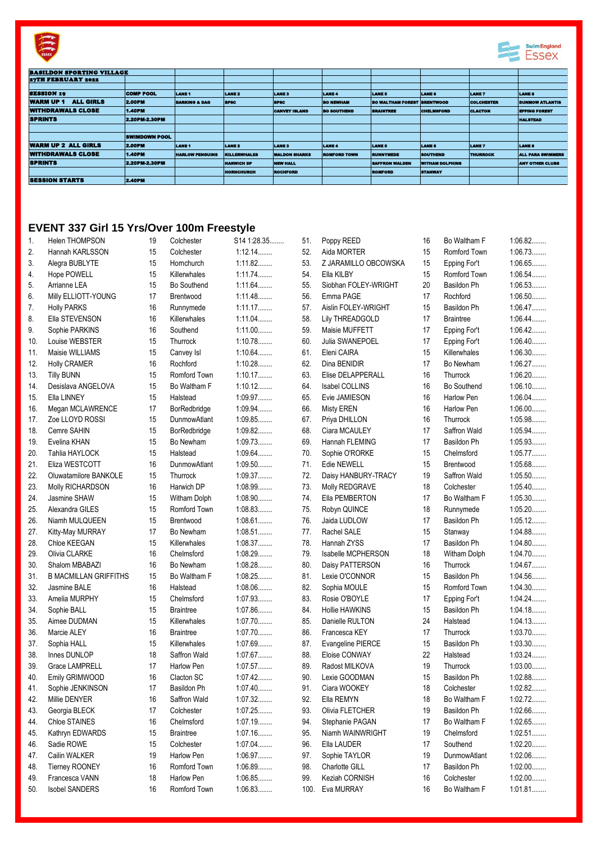



| <b>BASILDON SPORTING VILLAGE</b>     |                      |                          |                     |                      |                     |                                    |                        |                   |                          |
|--------------------------------------|----------------------|--------------------------|---------------------|----------------------|---------------------|------------------------------------|------------------------|-------------------|--------------------------|
| <b>27TH FEBRUARY 2022</b>            |                      |                          |                     |                      |                     |                                    |                        |                   |                          |
|                                      |                      |                          |                     |                      |                     |                                    |                        |                   |                          |
| <b>SESSION 19</b>                    | <b>COMP POOL</b>     | <b>LANE 1</b>            | <b>LANE 2</b>       | <b>LANES</b>         | LANE <sub>4</sub>   | LANE <sub>5</sub>                  | <b>LANE 6</b>          | <b>LANET</b>      | <b>LANE 8</b>            |
| <b>ALL GIRLS</b><br><b>WARM UP 1</b> | <b>2.00PM</b>        | <b>BARKING &amp; DAG</b> | <b>BPSC</b>         | <b>BPSC</b>          | <b>BO NEWILAM</b>   | <b>BO WALTHAM FOREST BRENTWOOD</b> |                        | <b>COLCHESTER</b> | <b>DUNNOW ATLANTIS</b>   |
| <b>WITHDRAWALS CLOSE</b>             | <b>1.40PM</b>        |                          |                     | <b>CANVEY ISLAND</b> | <b>BO SOUTHEND</b>  | <b>BRAINTREE</b>                   | <b>CHELMSFORD</b>      | <b>CLACTON</b>    | <b>EPPING FOREST</b>     |
| <b>SPRINTS</b>                       | 2.20PM-2.30PM        |                          |                     |                      |                     |                                    |                        |                   | <b>HALSTEAD</b>          |
|                                      |                      |                          |                     |                      |                     |                                    |                        |                   |                          |
|                                      | <b>SWIMDOWN POOL</b> |                          |                     |                      |                     |                                    |                        |                   |                          |
| <b>WARM UP 2 ALL GIRLS</b>           | <b>2.00PM</b>        | LANE <sub>1</sub>        | <b>LANE 2</b>       | <b>LANES</b>         | <b>LANE4</b>        | <b>LANE 5</b>                      | <b>LANE 6</b>          | <b>LANE7</b>      | LANE 8                   |
| <b>WITHDRAWALS CLOSE</b>             | <b>1.40PM</b>        | <b>HARLOW PENGUINS</b>   | <b>KILLERWHALES</b> | <b>MALDON SHARKS</b> | <b>ROMFORD TOWN</b> | <b>RUNNYMEDE</b>                   | <b>SOUTHEND</b>        | <b>THURROCK</b>   | <b>ALL PARA SWIMMERS</b> |
| <b>SPRINTS</b>                       | <b>2.20PM 2.30PM</b> |                          | <b>HARWICH DP</b>   | <b>NEW HALL</b>      |                     | <b>SAFFRON WALDEN</b>              | <b>WITHAM DOLPHINS</b> |                   | <b>ANY OTHER CLUBS</b>   |
|                                      |                      |                          | <b>HORNCHURCH</b>   | <b>ROCHFORD</b>      |                     | <b>ROMFORD</b>                     | <b>STANWAY</b>         |                   |                          |
| <b>SESSION STARTS</b>                | $2.40$ PM            |                          |                     |                      |                     |                                    |                        |                   |                          |
|                                      |                      |                          |                     |                      |                     |                                    |                        |                   |                          |

## **EVENT 337 Girl 15 Yrs/Over 100m Freestyle**

| 1.  | Helen THOMPSON               | 19     | Colchester          | S14 1:28.35 | 51.  | Poppy REED           | 16 | Bo Waltham F       | 1:06.82   |
|-----|------------------------------|--------|---------------------|-------------|------|----------------------|----|--------------------|-----------|
| 2.  | Hannah KARLSSON              | 15     | Colchester          | $1:12.14$   | 52.  | Aida MORTER          | 15 | Romford Town       | 1:06.73   |
| 3.  | Alegra BUBLYTE               | 15     | Hornchurch          | 1:11.82     | 53.  | Z JARAMILLO OBCOWSKA | 15 | Epping For't       | 1:06.65   |
| 4.  | Hope POWELL                  | 15     | Killerwhales        | 1:11.74     | 54.  | Ella KILBY           | 15 | Romford Town       | 1:06.54   |
| 5.  | Arrianne LEA                 | 15     | Bo Southend         | 1:11.64     | 55.  | Siobhan FOLEY-WRIGHT | 20 | Basildon Ph        | 1:06.53   |
| 6.  | Milly ELLIOTT-YOUNG          | 17     | Brentwood           | 1:11.48     | 56.  | Emma PAGE            | 17 | Rochford           | 1:06.50   |
| 7.  | <b>Holly PARKS</b>           | 16     | Runnymede           | 1:11.17     | 57.  | Aislin FOLEY-WRIGHT  | 15 | Basildon Ph        | 1:06.47   |
| 8.  | Ella STEVENSON               | 16     | Killerwhales        | 1:11.04     | 58.  | Lily THREADGOLD      | 17 | <b>Braintree</b>   | $1:06.44$ |
| 9.  | Sophie PARKINS               | 16     | Southend            | $1:11.00$   | 59.  | Maisie MUFFETT       | 17 | Epping For't       | 1:06.42   |
| 10. | Louise WEBSTER               | 15     | Thurrock            | 1:10.78     | 60.  | Julia SWANEPOEL      | 17 | Epping For't       | $1:06.40$ |
| 11. | Maisie WILLIAMS              | 15     | Canvey Isl          | 1:10.64     | 61.  | Eleni CAIRA          | 15 | Killerwhales       | 1:06.30   |
| 12. | <b>Holly CRAMER</b>          | 16     | Rochford            | 1:10.28     | 62.  | Dina BENIDIR         | 17 | Bo Newham          | 1:06.27   |
| 13. | <b>Tilly BUNN</b>            | 15     | Romford Town        | 1:10.17     | 63.  | Elise DELAPPERALL    | 16 | Thurrock           | $1:06.20$ |
|     | Desislava ANGELOVA           | 15     | Bo Waltham F        | $1:10.12$   | 64.  | Isabel COLLINS       | 16 | Bo Southend        | $1:06.10$ |
| 14. |                              |        |                     |             |      |                      |    |                    |           |
| 15. | Ella LINNEY                  | 15     | Halstead            | 1:09.97     | 65.  | Evie JAMIESON        | 16 | Harlow Pen         | 1:06.04   |
| 16. | Megan MCLAWRENCE             | 17     | BorRedbridge        | 1:09.94     | 66.  | <b>Misty EREN</b>    | 16 | Harlow Pen         | $1:06.00$ |
| 17. | Zoe LLOYD ROSSI              | 15     | DunmowAtlant        | 1:09.85     | 67.  | Priya DHILLON        | 16 | Thurrock           | 1:05.98   |
| 18. | Cemre SAHIN                  | 15     | BorRedbridge        | 1:09.82     | 68.  | Ciara MCAULEY        | 17 | Saffron Wald       | 1:05.94   |
| 19. | Evelina KHAN                 | 15     | Bo Newham           | 1:09.73     | 69.  | Hannah FLEMING       | 17 | Basildon Ph        | 1:05.93   |
| 20. | Tahlia HAYLOCK               | 15     | Halstead            | 1:09.64     | 70.  | Sophie O'RORKE       | 15 | Chelmsford         | 1:05.77   |
| 21. | Eliza WESTCOTT               | 16     | <b>DunmowAtlant</b> | 1:09.50     | 71.  | Edie NEWELL          | 15 | Brentwood          | 1:05.68   |
| 22. | Oluwatamilore BANKOLE        | 15     | Thurrock            | 1:09.37     | 72.  | Daisy HANBURY-TRACY  | 19 | Saffron Wald       | 1:05.50   |
| 23. | Molly RICHARDSON             | 16     | Harwich DP          | 1:08.99     | 73.  | Molly REDGRAVE       | 18 | Colchester         | $1:05.40$ |
| 24. | Jasmine SHAW                 | 15     | Witham Dolph        | 1:08.90     | 74.  | Ella PEMBERTON       | 17 | Bo Waltham F       | 1:05.30   |
| 25. | Alexandra GILES              | 15     | Romford Town        | 1:08.83     | 75.  | Robyn QUINCE         | 18 | Runnymede          | $1:05.20$ |
| 26. | Niamh MULQUEEN               | 15     | Brentwood           | 1:08.61     | 76.  | Jaida LUDLOW         | 17 | Basildon Ph        | 1:05.12   |
| 27. | Kitty-May MURRAY             | 17     | Bo Newham           | 1:08.51     | 77.  | Rachel SALE          | 15 | Stanway            | 1:04.88   |
| 28. | Chloe KEEGAN                 | 15     | Killerwhales        | 1:08.37     | 78.  | Hannah ZYSS          | 17 | Basildon Ph        | 1:04.80   |
| 29. | Olivia CLARKE                | 16     | Chelmsford          | 1:08.29     | 79.  | Isabelle MCPHERSON   | 18 | Witham Dolph       | 1:04.70   |
| 30. | Shalom MBABAZI               | 16     | Bo Newham           | 1:08.28     | 80.  | Daisy PATTERSON      | 16 | Thurrock           | 1:04.67   |
| 31. | <b>B MACMILLAN GRIFFITHS</b> | 15     | Bo Waltham F        | 1:08.25     | 81.  | Lexie O'CONNOR       | 15 | <b>Basildon Ph</b> | 1:04.56   |
| 32. | Jasmine BALE                 | 16     | Halstead            | 1:08.06     | 82.  | Sophia MOULE         | 15 | Romford Town       | 1:04.30   |
| 33. | Amelia MURPHY                | 15     | Chelmsford          | 1:07.93     | 83.  | Rosie O'BOYLE        | 17 | Epping For't       | 1:04.24   |
| 34. | Sophie BALL                  | 15     | <b>Braintree</b>    | 1:07.86     | 84.  | Hollie HAWKINS       | 15 | Basildon Ph        | 1:04.18   |
| 35. | Aimee DUDMAN                 | 15     | Killerwhales        | 1:07.70     | 85.  | Danielle RULTON      | 24 | Halstead           | 1:04.13   |
| 36. | Marcie ALEY                  | 16     | <b>Braintree</b>    | 1:07.70     | 86.  | Francesca KEY        | 17 | Thurrock           | $1:03.70$ |
| 37. | Sophia HALL                  | 15     | Killerwhales        | 1:07.69     | 87.  | Evangeline PIERCE    | 15 | Basildon Ph        | 1:03.30   |
| 38. | Innes DUNLOP                 | 18     | Saffron Wald        | 1:07.67     | 88.  | Eloise CONWAY        | 22 | Halstead           | 1:03.24   |
| 39. | Grace LAMPRELL               | 17     | <b>Harlow Pen</b>   | 1:07.57     | 89.  | Radost MILKOVA       | 19 | Thurrock           | $1:03.00$ |
| 40. | Emily GRIMWOOD               | 16     | Clacton SC          | 1:07.42     | 90.  | Lexie GOODMAN        | 15 | Basildon Ph        | 1:02.88   |
| 41. | Sophie JENKINSON             | $17\,$ | Basildon Ph         | $1:07.40$   | 91.  | Ciara WOOKEY         | 18 | Colchester         | 1:02.82   |
|     |                              |        |                     |             |      |                      |    |                    |           |
| 42. | Millie DENYER                | 16     | Saffron Wald        | 1:07.32     | 92.  | Ella REMYN           | 18 | Bo Waltham F       | 1:02.72   |
| 43. | Georgia BLECK                | 17     | Colchester          | 1:07.25     | 93.  | Olivia FLETCHER      | 19 | Basildon Ph        | 1:02.66   |
| 44. | Chloe STAINES                | 16     | Chelmsford          | 1:07.19     | 94.  | Stephanie PAGAN      | 17 | Bo Waltham F       | 1:02.65   |
| 45. | Kathryn EDWARDS              | 15     | <b>Braintree</b>    | 1:07.16     | 95.  | Niamh WAINWRIGHT     | 19 | Chelmsford         | 1:02.51   |
| 46. | Sadie ROWE                   | 15     | Colchester          | 1:07.04     | 96.  | Ella LAUDER          | 17 | Southend           | $1:02.20$ |
| 47. | Cailin WALKER                | 19     | Harlow Pen          | 1:06.97     | 97.  | Sophie TAYLOR        | 19 | DunmowAtlant       | 1:02.06   |
| 48. | <b>Tierney ROONEY</b>        | 16     | Romford Town        | 1:06.89     | 98.  | Charlotte GILL       | 17 | Basildon Ph        | $1:02.00$ |
| 49. | Francesca VANN               | 18     | Harlow Pen          | 1:06.85     | 99.  | Keziah CORNISH       | 16 | Colchester         | $1:02.00$ |
| 50. | <b>Isobel SANDERS</b>        | 16     | Romford Town        | 1:06.83     | 100. | Eva MURRAY           | 16 | Bo Waltham F       | 1:01.81   |
|     |                              |        |                     |             |      |                      |    |                    |           |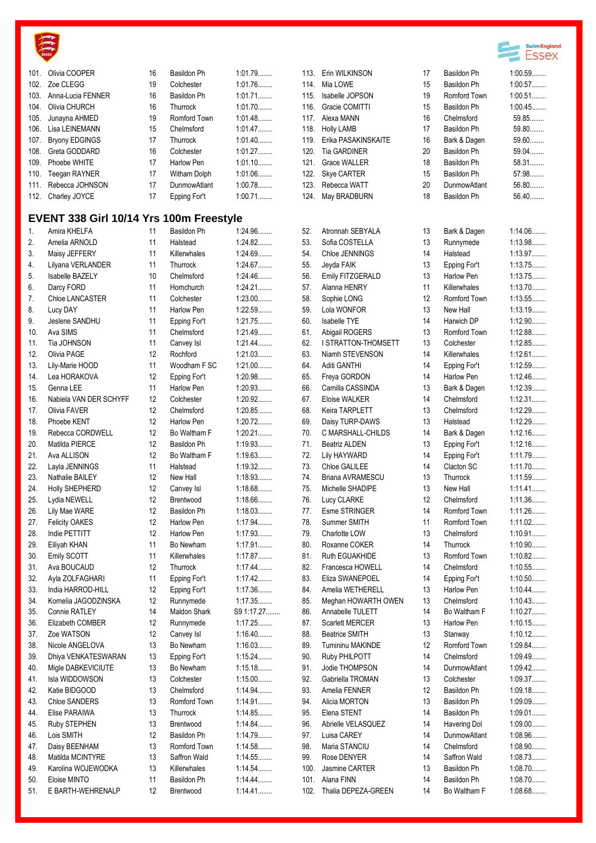

| 101. | Olivia COOPER                           | 16 | Basildon Ph         | 1:01.79    |      | 113. Erin WILKINSON     | 17 | <b>Basild</b> |
|------|-----------------------------------------|----|---------------------|------------|------|-------------------------|----|---------------|
| 102. | Zoe CLEGG                               | 19 | Colchester          | 1:01.76    | 114. | Mia LOWE                | 15 | <b>Basild</b> |
| 103. | Anna-Lucia FENNER                       | 16 | Basildon Ph         | 1:01.71    | 115. | Isabelle JOPSON         | 19 | Romfo         |
| 104. | Olivia CHURCH                           | 16 | Thurrock            | 1:01.70    | 116. | Gracie COMITTI          | 15 | <b>Basild</b> |
| 105. | Junayna AHMED                           | 19 | Romford Town        | 1:01.48    | 117. | Alexa MANN              | 16 | Chelm         |
| 106. | Lisa LEINEMANN                          | 15 | Chelmsford          | 1:01.47    |      | 118. Holly LAMB         | 17 | <b>Basild</b> |
| 107. | <b>Bryony EDGINGS</b>                   | 17 | Thurrock            | 1:01.40    | 119. | Erika PASAKINSKAITE     | 16 | Bark 8        |
| 108. | Greta GODDARD                           | 16 | Colchester          | 1:01.27    | 120. | <b>Tia GARDINER</b>     | 20 | <b>Basild</b> |
| 109. | Phoebe WHITE                            | 17 | Harlow Pen          | 1:01.10    | 121. | <b>Grace WALLER</b>     | 18 | <b>Basild</b> |
| 110. | Teegan RAYNER                           | 17 | Witham Dolph        | 1:01.06    | 122. | Skye CARTER             | 15 | <b>Basild</b> |
| 111. | Rebecca JOHNSON                         | 17 | <b>DunmowAtlant</b> | 1:00.78    | 123. | Rebecca WATT            | 20 | Dunm          |
| 112. | Charley JOYCE                           | 17 | Epping For't        | 1:00.71    | 124. | May BRADBURN            | 18 | <b>Basild</b> |
|      | EVENT 338 Girl 10/14 Yrs 100m Freestyle |    |                     |            |      |                         |    |               |
| 1.   | Amira KHELFA                            | 11 | Basildon Ph         | 1:24.96    | 52.  | Atronnah SEBYALA        | 13 | Bark 8        |
| 2.   | Amelia ARNOLD                           | 11 | Halstead            | 1:24.82    | 53.  | Sofia COSTELLA          | 13 | Runny         |
| 3.   | Maisy JEFFERY                           | 11 | Killerwhales        | 1:24.69    | 54.  | Chloe JENNINGS          | 14 | Halste        |
| 4.   | Lilyana VERLANDER                       | 11 | Thurrock            | 1:24.67    | 55.  | Jeyda FAIK              | 13 | Epping        |
| 5.   | <b>Isabelle BAZELY</b>                  | 10 | Chelmsford          | 1:24.46    | 56.  | Emily FITZGERALD        | 13 | Harlov        |
| 6.   | Darcy FORD                              | 11 | Hornchurch          | 1:24.21    | 57.  | Alanna HENRY            | 11 | Killerw       |
| 7.   | Chloe LANCASTER                         | 11 | Colchester          | $1:23.00$  | 58.  | Sophie LONG             | 12 | Romfo         |
| 8.   | Lucy DAY                                | 11 | Harlow Pen          | 1:22.59    | 59.  | Lola WONFOR             | 13 | New H         |
| 9.   | Jeslene SANDHU                          | 11 | Epping For't        | 1:21.75    | 60.  | Isabelle TYE            | 14 | Harwio        |
| 10.  | Ava SIMS                                | 11 | Chelmsford          | 1:21.49    | 61.  | Abigail ROGERS          | 13 | Romfo         |
| 11.  | Tia JOHNSON                             | 11 | Canvey Isl          | 1:21.44    | 62.  | I STRATTON-THOMSETT     | 13 | Colche        |
| 12.  | Olivia PAGE                             | 12 | Rochford            | 1:21.03    | 63.  | Niamh STEVENSON         | 14 | Killerw       |
| 13.  | Lily-Marie HOOD                         | 11 | Woodham F SC        | $1:21.00$  | 64.  | Aditi GANTHI            | 14 | Epping        |
| 14.  | Lea HORAKOVA                            | 12 | Epping For't        | 1:20.98    | 65.  | Freya GORDON            | 14 | Harlov        |
| 15.  | Genna LEE                               | 11 | Harlow Pen          | 1:20.93    | 66.  | Camilla CASSINDA        | 13 | Bark 8        |
| 16.  | Nabiela VAN DER SCHYFF                  | 12 | Colchester          | 1:20.92    | 67.  | <b>Eloise WALKER</b>    | 14 | Chelm         |
| 17.  | Olivia FAVER                            | 12 | Chelmsford          | 1:20.85    | 68.  | Keira TARPLETT          | 13 | Chelm         |
| 18.  | Phoebe KENT                             | 12 | Harlow Pen          | 1:20.72    | 69.  | Daisy TURP-DAWS         | 13 | Halste        |
| 19.  | Rebecca CORDWELL                        | 12 | Bo Waltham F        | $1:20.21$  | 70.  | C MARSHALL-CHILDS       | 14 | Bark 8        |
| 20.  | Matilda PIERCE                          | 12 | Basildon Ph         | 1:19.93    | 71.  | <b>Beatriz ALDEN</b>    | 13 | Epping        |
| 21.  | Ava ALLISON                             | 12 | Bo Waltham F        | 1:19.63    | 72.  | <b>Lily HAYWARD</b>     | 14 | Epping        |
| 22.  | Layla JENNINGS                          | 11 | Halstead            | 1:19.32    | 73.  | Chloe GALILEE           | 14 | Clacto        |
| 23.  | Nathalie BAILEY                         | 12 | New Hall            | 1:18.93    | 74.  | <b>Briana AVRAMESCU</b> | 13 | Thurro        |
| 24.  | Holly SHEPHERD                          | 12 | Canvey Isl          | 1:18.68    | 75.  | Michelle SHADIPE        | 13 | New H         |
| 25.  | Lydia NEWELL                            | 12 | Brentwood           | 1:18.66    | 76.  | Lucy CLARKE             | 12 | Chelm         |
| 26.  | Lily Mae WARE                           | 12 | Basildon Ph         | 1:18.03    | 77.  | <b>Esme STRINGER</b>    | 14 | Romfo         |
| 27.  | <b>Felicity OAKES</b>                   | 12 | Harlow Pen          | 1:17.94    | 78.  | Summer SMITH            | 11 | Romfo         |
| 28.  | Indie PETTITT                           | 12 | Harlow Pen          | 1:17.93    | 79.  | Charlotte LOW           | 13 | Chelm         |
| 29.  | Eiliyah KHAN                            | 11 | Bo Newham           | 1:17.91    | 80.  | Roxanne COKER           | 14 | Thurro        |
| 30.  | Emily SCOTT                             | 11 | Killerwhales        | 1:17.87    | 81.  | Ruth EGUAKHIDE          | 13 | Romfo         |
| 31.  | Ava BOUCAUD                             | 12 | Thurrock            | 1:17.44    | 82.  | Francesca HOWELL        | 14 | Chelm         |
| 32.  | Ayla ZOLFAGHARI                         | 11 | Epping For't        | 1:17.42    | 83.  | Eliza SWANEPOEL         | 14 | Epping        |
| 33.  | India HARROD-HILL                       | 12 | Epping For't        | 1:17.36    | 84.  | Amelia WETHERELL        | 13 | Harlov        |
| 34.  | Komelia JAGODZINSKA                     | 12 | Runnymede           | 1:17.35    | 85.  | Meghan HOWARTH OWEN     | 13 | Chelm         |
| 35.  | Connie RATLEY                           | 14 | <b>Maldon Shark</b> | S9 1:17.27 | 86.  | Annabelle TULETT        | 14 | Bo Wa         |
| 36.  | Elizabeth COMBER                        | 12 | Runnymede           | 1:17.25    | 87.  | Scarlett MERCER         | 13 | Harlov        |
| 37.  | Zoe WATSON                              | 12 | Canvey Isl          | 1:16.40    | 88.  | <b>Beatrice SMITH</b>   | 13 | Stanw         |
| 38.  | Nicole ANGELOVA                         | 13 | Bo Newham           | 1:16.03    | 89.  | Tumininu MAKINDE        | 12 | Romfo         |
| 39.  | Dhiya VENKATESWARAN                     | 13 | Epping For't        | 1:15.24    | 90.  | Ruby PHILPOTT           | 14 | Chelm         |
| 40.  | Migle DABKEVICIUTE                      | 13 | Bo Newham           | 1:15.18    | 91.  | Jodie THOMPSON          | 14 | Dunmo         |
| 41.  | Isla WIDDOWSON                          | 13 | Colchester          | $1:15.00$  | 92.  | Gabriella TROMAN        | 13 | Colche        |
| 42.  | Katie BIDGOOD                           | 13 | Chelmsford          | 1:14.94    | 93.  | Amelia FENNER           | 12 | <b>Basild</b> |
| 43.  | Chloe SANDERS                           | 13 | Romford Town        | 1:14.91    | 94.  | Alicia MORTON           | 13 | <b>Basild</b> |
| 44.  | Elise PARAIWA                           | 13 | Thurrock            | 1:14.85    | 95.  | Elena STENT             | 14 | <b>Basild</b> |
| 45.  | Ruby STEPHEN                            | 13 | Brentwood           | 1:14.84    | 96.  | Abrielle VELASQUEZ      | 14 | Haveri        |
| 46.  | Lois SMITH                              | 12 | Basildon Ph         | 1:14.79    | 97.  | Luisa CAREY             | 14 | Dunmo         |
| 47.  | Daisy BEENHAM                           | 13 | Romford Town        | 1:14.58    | 98.  | Maria STANCIU           | 14 | Chelm         |
| 48.  | Matilda MCINTYRE                        | 13 | Saffron Wald        | 1:14.55    | 99.  | Rose DENYER             | 14 | Saffror       |
| 49.  | Karolina WOJEWODKA                      | 13 | Killerwhales        | 1:14.54    | 100. | Jasmine CARTER          | 13 | <b>Basild</b> |
| 50.  | Eloise MINTO                            | 11 | Basildon Ph         | 1:14.44    | 101. | Alana FINN              | 14 | <b>Basild</b> |
| 51.  | E BARTH-WEHRENALP                       | 12 | Brentwood           | 1:14.41    | 102. | Thalia DEPEZA-GREEN     | 14 | Bo Wa         |



|              |                                   |          |                                    | ESSe                   |
|--------------|-----------------------------------|----------|------------------------------------|------------------------|
| 113.         | Erin WILKINSON                    | 17       | Basildon Ph                        | 1:00.59                |
| 114.         | Mia LOWE                          | 15       | Basildon Ph                        | 1:00.57                |
| 115.         | <b>Isabelle JOPSON</b>            | 19       | Romford Town                       | $1:00.51$              |
| 116.         | Gracie COMITTI                    | 15       | <b>Basildon Ph</b>                 | 1:00.45                |
| 117.         | Alexa MANN                        | 16       | Chelmsford                         | 59.85                  |
| 118.         | <b>Holly LAMB</b>                 | 17       | Basildon Ph                        | 59.80                  |
| 119.         | Erika PASAKINSKAITE               | 16       | Bark & Dagen                       | 59.60                  |
| 120.         | <b>Tia GARDINER</b>               | 20       | Basildon Ph                        | 59.04                  |
| 121.         | <b>Grace WALLER</b>               | 18<br>15 | Basildon Ph                        | 58.31<br>57.98         |
| 122.         | Skye CARTER                       | 20       | Basildon Ph<br><b>DunmowAtlant</b> | 56.80                  |
| 123.<br>124. | Rebecca WATT<br>May BRADBURN      | 18       | Basildon Ph                        | 56.40                  |
|              |                                   |          |                                    |                        |
| 52.          | Atronnah SEBYALA                  | 13       | Bark & Dagen                       | 1:14.06                |
| 53.          | Sofia COSTELLA                    | 13       | Runnymede                          | 1:13.98                |
| 54.          | Chloe JENNINGS                    | 14       | Halstead                           | 1:13.97                |
| 55.          | Jeyda FAIK                        | 13       | Epping For't                       | 1:13.75                |
| 56.          | Emily FITZGERALD                  | 13       | Harlow Pen                         | 1:13.75                |
| 57.          | Alanna HENRY                      | 11       | Killerwhales                       | 1:13.70                |
| 58.          | Sophie LONG                       | 12       | Romford Town                       | 1:13.55                |
| 59.          | Lola WONFOR                       | 13       | New Hall                           | 1:13.19                |
| 60.          | <b>Isabelle TYE</b>               | 14       | Harwich DP                         | 1:12.90                |
| 61.          | Abigail ROGERS                    | 13       | Romford Town                       | 1:12.88                |
| 62.          | I STRATTON-THOMSETT               | 13       | Colchester                         | 1:12.85                |
| 63.          | Niamh STEVENSON                   | 14       | Killerwhales                       | 1:12.61                |
| 64.          | Aditi GANTHI                      | 14       | Epping For't                       | 1:12.59                |
| 65.          | Freya GORDON                      | 14       | Harlow Pen                         | 1:12.46                |
| 66.          | Camilla CASSINDA                  | 13       | Bark & Dagen                       | 1:12.39                |
| 67.          | Eloise WALKER                     | 14       | Chelmsford                         | 1:12.31                |
| 68.          | Keira TARPLETT                    | 13       | Chelmsford                         | 1:12.29                |
| 69.          | Daisy TURP-DAWS                   | 13       | Halstead                           | 1:12.29                |
| 70.          | C MARSHALL-CHILDS                 | 14       | Bark & Dagen                       | 1:12.16                |
| 71.          | <b>Beatriz ALDEN</b>              | 13       | Epping For't                       | 1:12.16                |
| 72.          | Lily HAYWARD<br>Chloe GALILEE     | 14       | Epping For't<br>Clacton SC         | 1:11.79                |
| 73.<br>74.   | <b>Briana AVRAMESCU</b>           | 14<br>13 | Thurrock                           | $1:11.70$<br>1:11.59   |
| 75.          | Michelle SHADIPE                  | 13       | New Hall                           | 1:11.41                |
| 76.          | Lucy CLARKE                       | 12       | Chelmsford                         | 1:11.36                |
| 77.          | Esme STRINGER                     | 14       | Romford Town                       | 1:11.26                |
| 78.          | Summer SMITH                      | 11       | Romford Town                       | 1:11.02                |
| 79.          | Charlotte LOW                     | 13       | Chelmsford                         | 1:10.91                |
| 80.          | Roxanne COKER                     | 14       | Thurrock                           | 1:10.90                |
| 81.          | Ruth EGUAKHIDE                    | 13       | Romford Town                       | 1:10.82                |
| 82.          | Francesca HOWELL                  | 14       | Chelmsford                         | 1:10.55                |
| 83.          | Eliza SWANEPOEL                   | 14       | Epping For't                       | $1:10.50$              |
| 84.          | Amelia WETHERELL                  | 13       | Harlow Pen                         | $1:10.44$              |
| 85.          | Meghan HOWARTH OWEN               | 13       | Chelmsford                         | 1:10.43                |
| 86.          | Annabelle TULETT                  | 14       | Bo Waltham F                       | 1:10.27                |
| 87.          | <b>Scarlett MERCER</b>            | 13       | Harlow Pen                         | 1:10.15                |
| 88.          | <b>Beatrice SMITH</b>             | 13       | Stanway                            | $1:10.12$              |
| 89.          | Tumininu MAKINDE                  | 12       | Romford Town                       | 1:09.84                |
| 90.          | Ruby PHILPOTT                     | 14       | Chelmsford                         | 1:09.49                |
| 91.          | Jodie THOMPSON                    | 14       | DunmowAtlant                       | 1:09.42                |
| 92.          | Gabriella TROMAN                  | 13       | Colchester                         | 1:09.37                |
| 93.          | Amelia FENNER                     | 12       | Basildon Ph                        | 1:09.18                |
| 94.          | Alicia MORTON                     | 13       | Basildon Ph                        | 1:09.09                |
| 95.<br>96.   | Elena STENT<br>Abrielle VELASQUEZ | 14<br>14 | Basildon Ph<br>Havering Dol        | $1:09.01$<br>$1:09.00$ |
|              | Luisa CAREY                       | 14       | DunmowAtlant                       | 1:08.96                |
| 97.<br>98.   | Maria STANCIU                     | 14       | Chelmsford                         | 1:08.90                |
| 99.          | Rose DENYER                       | 14       | Saffron Wald                       | 1:08.73                |
| 100.         | Jasmine CARTER                    | 13       | Basildon Ph                        | 1:08.70                |
| 101.         | Alana FINN                        | 14       | Basildon Ph                        | $1:08.70$              |
| 102.         | Thalia DEPEZA-GREEN               | 14       | Bo Waltham F                       | 1:08.68                |
|              |                                   |          |                                    |                        |